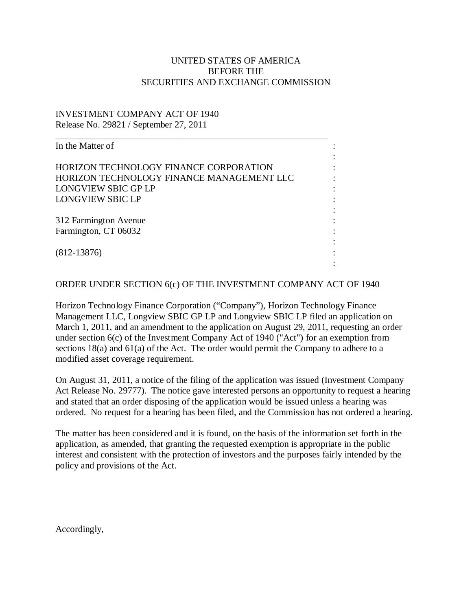## UNITED STATES OF AMERICA BEFORE THE SECURITIES AND EXCHANGE COMMISSION

## INVESTMENT COMPANY ACT OF 1940 Release No. 29821 / September 27, 2011

| In the Matter of                              |  |
|-----------------------------------------------|--|
| <b>HORIZON TECHNOLOGY FINANCE CORPORATION</b> |  |
| HORIZON TECHNOLOGY FINANCE MANAGEMENT LLC     |  |
| LONGVIEW SBIC GP LP                           |  |
| <b>LONGVIEW SBIC LP</b>                       |  |
| 312 Farmington Avenue                         |  |
| Farmington, CT 06032                          |  |
| $(812 - 13876)$                               |  |
|                                               |  |

## ORDER UNDER SECTION 6(c) OF THE INVESTMENT COMPANY ACT OF 1940

Horizon Technology Finance Corporation ("Company"), Horizon Technology Finance Management LLC, Longview SBIC GP LP and Longview SBIC LP filed an application on March 1, 2011, and an amendment to the application on August 29, 2011, requesting an order under section 6(c) of the Investment Company Act of 1940 ("Act") for an exemption from sections 18(a) and 61(a) of the Act. The order would permit the Company to adhere to a modified asset coverage requirement.

On August 31, 2011, a notice of the filing of the application was issued (Investment Company Act Release No. 29777). The notice gave interested persons an opportunity to request a hearing and stated that an order disposing of the application would be issued unless a hearing was ordered. No request for a hearing has been filed, and the Commission has not ordered a hearing.

The matter has been considered and it is found, on the basis of the information set forth in the application, as amended, that granting the requested exemption is appropriate in the public interest and consistent with the protection of investors and the purposes fairly intended by the policy and provisions of the Act.

Accordingly,